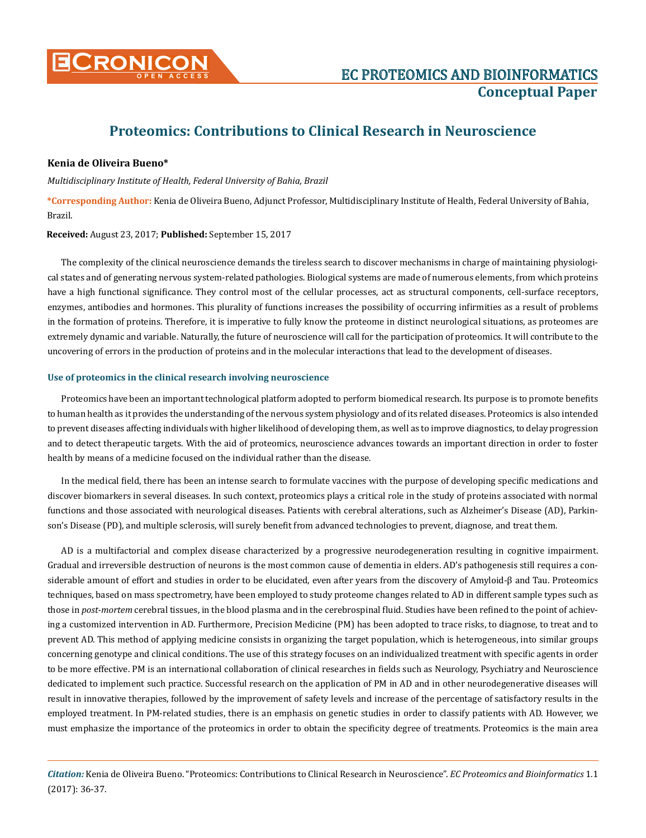

## **Proteomics: Contributions to Clinical Research in Neuroscience**

## **Kenia de Oliveira Bueno\***

*Multidisciplinary Institute of Health, Federal University of Bahia, Brazil*

**\*Corresponding Author:** Kenia de Oliveira Bueno, Adjunct Professor, Multidisciplinary Institute of Health, Federal University of Bahia, Brazil.

**Received:** August 23, 2017; **Published:** September 15, 2017

The complexity of the clinical neuroscience demands the tireless search to discover mechanisms in charge of maintaining physiological states and of generating nervous system-related pathologies. Biological systems are made of numerous elements, from which proteins have a high functional significance. They control most of the cellular processes, act as structural components, cell-surface receptors, enzymes, antibodies and hormones. This plurality of functions increases the possibility of occurring infirmities as a result of problems in the formation of proteins. Therefore, it is imperative to fully know the proteome in distinct neurological situations, as proteomes are extremely dynamic and variable. Naturally, the future of neuroscience will call for the participation of proteomics. It will contribute to the uncovering of errors in the production of proteins and in the molecular interactions that lead to the development of diseases.

## **Use of proteomics in the clinical research involving neuroscience**

Proteomics have been an important technological platform adopted to perform biomedical research. Its purpose is to promote benefits to human health as it provides the understanding of the nervous system physiology and of its related diseases. Proteomics is also intended to prevent diseases affecting individuals with higher likelihood of developing them, as well as to improve diagnostics, to delay progression and to detect therapeutic targets. With the aid of proteomics, neuroscience advances towards an important direction in order to foster health by means of a medicine focused on the individual rather than the disease.

In the medical field, there has been an intense search to formulate vaccines with the purpose of developing specific medications and discover biomarkers in several diseases. In such context, proteomics plays a critical role in the study of proteins associated with normal functions and those associated with neurological diseases. Patients with cerebral alterations, such as Alzheimer's Disease (AD), Parkinson's Disease (PD), and multiple sclerosis, will surely benefit from advanced technologies to prevent, diagnose, and treat them.

AD is a multifactorial and complex disease characterized by a progressive neurodegeneration resulting in cognitive impairment. Gradual and irreversible destruction of neurons is the most common cause of dementia in elders. AD's pathogenesis still requires a considerable amount of effort and studies in order to be elucidated, even after years from the discovery of Amyloid-β and Tau. Proteomics techniques, based on mass spectrometry, have been employed to study proteome changes related to AD in different sample types such as those in *post-mortem* cerebral tissues, in the blood plasma and in the cerebrospinal fluid. Studies have been refined to the point of achieving a customized intervention in AD. Furthermore, Precision Medicine (PM) has been adopted to trace risks, to diagnose, to treat and to prevent AD. This method of applying medicine consists in organizing the target population, which is heterogeneous, into similar groups concerning genotype and clinical conditions. The use of this strategy focuses on an individualized treatment with specific agents in order to be more effective. PM is an international collaboration of clinical researches in fields such as Neurology, Psychiatry and Neuroscience dedicated to implement such practice. Successful research on the application of PM in AD and in other neurodegenerative diseases will result in innovative therapies, followed by the improvement of safety levels and increase of the percentage of satisfactory results in the employed treatment. In PM-related studies, there is an emphasis on genetic studies in order to classify patients with AD. However, we must emphasize the importance of the proteomics in order to obtain the specificity degree of treatments. Proteomics is the main area

*Citation:* Kenia de Oliveira Bueno. "Proteomics: Contributions to Clinical Research in Neuroscience". *EC Proteomics and Bioinformatics* 1.1 (2017): 36-37.